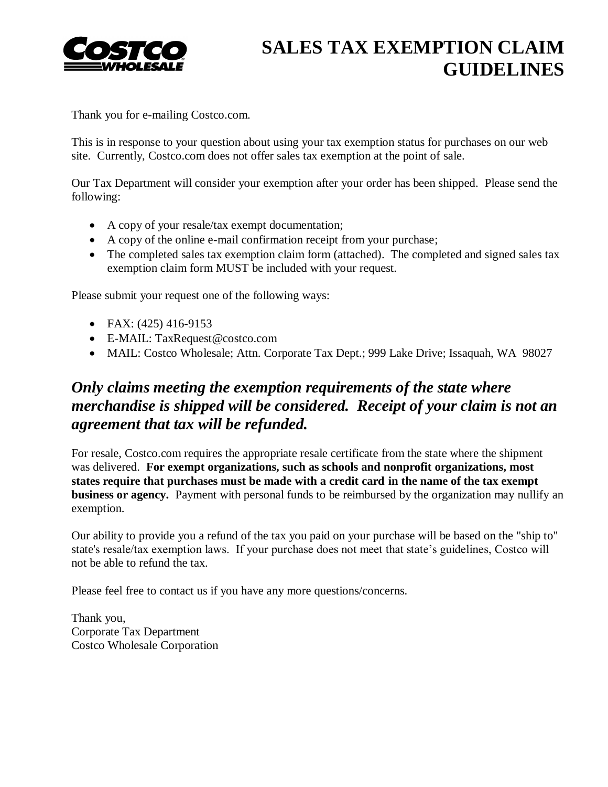

## **SALES TAX EXEMPTION CLAIM GUIDELINES**

Thank you for e-mailing Costco.com.

This is in response to your question about using your tax exemption status for purchases on our web site. Currently, Costco.com does not offer sales tax exemption at the point of sale.

Our Tax Department will consider your exemption after your order has been shipped. Please send the following:

- A copy of your resale/tax exempt documentation;
- A copy of the online e-mail confirmation receipt from your purchase;
- The completed sales tax exemption claim form (attached). The completed and signed sales tax exemption claim form MUST be included with your request.

Please submit your request one of the following ways:

- FAX:  $(425)$  416-9153
- E-MAIL: TaxRequest@costco.com
- MAIL: Costco Wholesale; Attn. Corporate Tax Dept.; 999 Lake Drive; Issaquah, WA 98027

## *Only claims meeting the exemption requirements of the state where merchandise is shipped will be considered. Receipt of your claim is not an agreement that tax will be refunded.*

For resale, Costco.com requires the appropriate resale certificate from the state where the shipment was delivered. **For exempt organizations, such as schools and nonprofit organizations, most states require that purchases must be made with a credit card in the name of the tax exempt business or agency.** Payment with personal funds to be reimbursed by the organization may nullify an exemption.

Our ability to provide you a refund of the tax you paid on your purchase will be based on the "ship to" state's resale/tax exemption laws. If your purchase does not meet that state's guidelines, Costco will not be able to refund the tax.

Please feel free to contact us if you have any more questions/concerns.

Thank you, Corporate Tax Department Costco Wholesale Corporation